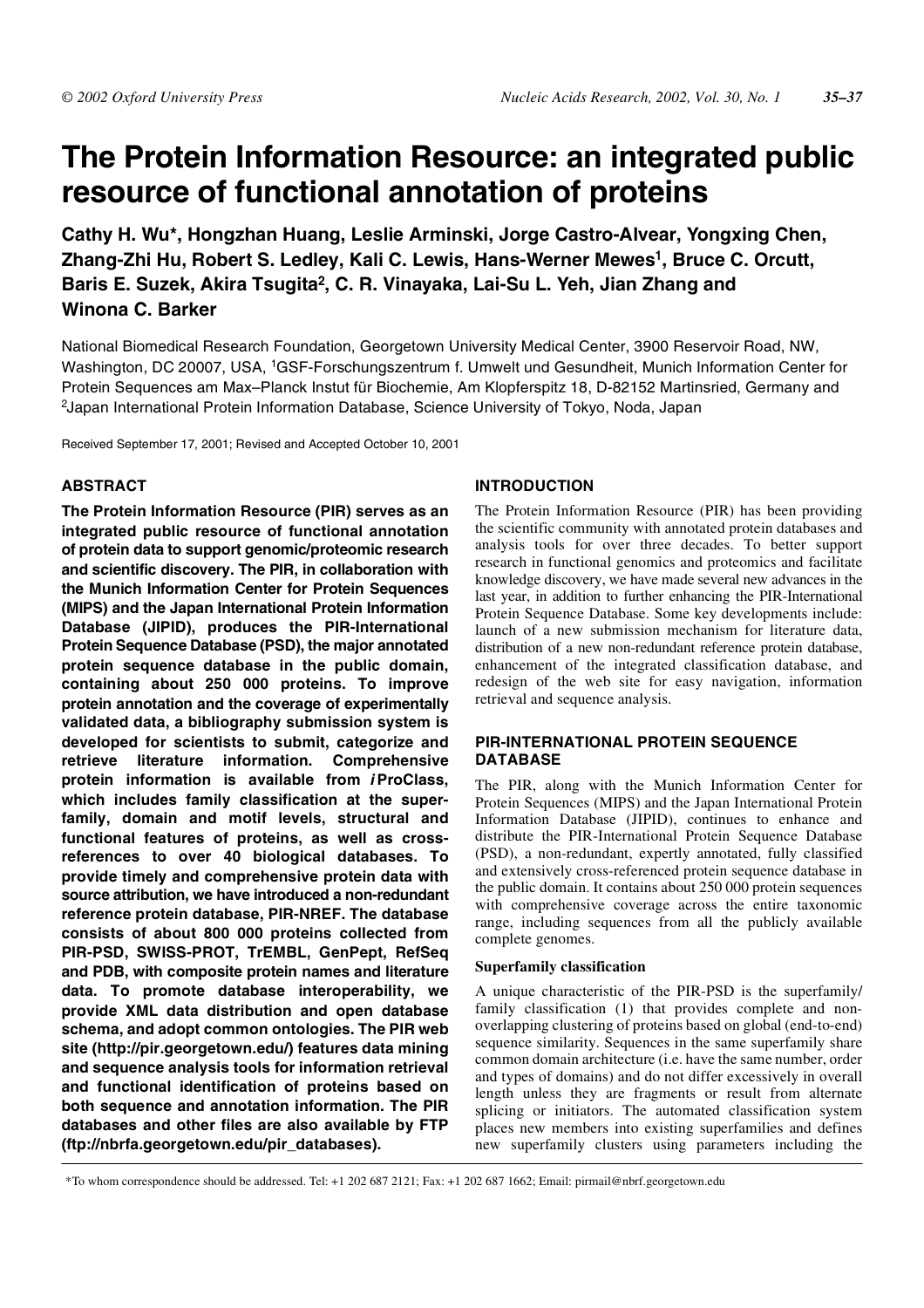# **The Protein Information Resource: an integrated public resource of functional annotation of proteins**

**Cathy H. Wu\*, Hongzhan Huang, Leslie Arminski, Jorge Castro-Alvear, Yongxing Chen, Zhang-Zhi Hu, Robert S. Ledley, Kali C. Lewis, Hans-Werner Mewes1, Bruce C. Orcutt, Baris E. Suzek, Akira Tsugita2, C. R. Vinayaka, Lai-Su L. Yeh, Jian Zhang and Winona C. Barker**

National Biomedical Research Foundation, Georgetown University Medical Center, 3900 Reservoir Road, NW, Washington, DC 20007, USA, 1GSF-Forschungszentrum f. Umwelt und Gesundheit, Munich Information Center for Protein Sequences am Max–Planck Instut für Biochemie, Am Klopferspitz 18, D-82152 Martinsried, Germany and 2Japan International Protein Information Database, Science University of Tokyo, Noda, Japan

Received September 17, 2001; Revised and Accepted October 10, 2001

# **ABSTRACT**

**The Protein Information Resource (PIR) serves as an integrated public resource of functional annotation of protein data to support genomic/proteomic research and scientific discovery. The PIR, in collaboration with the Munich Information Center for Protein Sequences (MIPS) and the Japan International Protein Information Database (JIPID), produces the PIR-International Protein Sequence Database (PSD), the major annotated protein sequence database in the public domain, containing about 250 000 proteins. To improve protein annotation and the coverage of experimentally validated data, a bibliography submission system is developed for scientists to submit, categorize and retrieve literature information. Comprehensive protein information is available from i ProClass, which includes family classification at the superfamily, domain and motif levels, structural and functional features of proteins, as well as crossreferences to over 40 biological databases. To provide timely and comprehensive protein data with source attribution, we have introduced a non-redundant reference protein database, PIR-NREF. The database consists of about 800 000 proteins collected from PIR-PSD, SWISS-PROT, TrEMBL, GenPept, RefSeq and PDB, with composite protein names and literature data. To promote database interoperability, we provide XML data distribution and open database schema, and adopt common ontologies. The PIR web site (http://pir.georgetown.edu/) features data mining and sequence analysis tools for information retrieval and functional identification of proteins based on both sequence and annotation information. The PIR databases and other files are also available by FTP (ftp://nbrfa.georgetown.edu/pir\_databases).**

# **INTRODUCTION**

The Protein Information Resource (PIR) has been providing the scientific community with annotated protein databases and analysis tools for over three decades. To better support research in functional genomics and proteomics and facilitate knowledge discovery, we have made several new advances in the last year, in addition to further enhancing the PIR-International Protein Sequence Database. Some key developments include: launch of a new submission mechanism for literature data, distribution of a new non-redundant reference protein database, enhancement of the integrated classification database, and redesign of the web site for easy navigation, information retrieval and sequence analysis.

## **PIR-INTERNATIONAL PROTEIN SEQUENCE DATABASE**

The PIR, along with the Munich Information Center for Protein Sequences (MIPS) and the Japan International Protein Information Database (JIPID), continues to enhance and distribute the PIR-International Protein Sequence Database (PSD), a non-redundant, expertly annotated, fully classified and extensively cross-referenced protein sequence database in the public domain. It contains about 250 000 protein sequences with comprehensive coverage across the entire taxonomic range, including sequences from all the publicly available complete genomes.

## **Superfamily classification**

A unique characteristic of the PIR-PSD is the superfamily/ family classification (1) that provides complete and nonoverlapping clustering of proteins based on global (end-to-end) sequence similarity. Sequences in the same superfamily share common domain architecture (i.e. have the same number, order and types of domains) and do not differ excessively in overall length unless they are fragments or result from alternate splicing or initiators. The automated classification system places new members into existing superfamilies and defines new superfamily clusters using parameters including the

\*To whom correspondence should be addressed. Tel: +1 202 687 2121; Fax: +1 202 687 1662; Email: pirmail@nbrf.georgetown.edu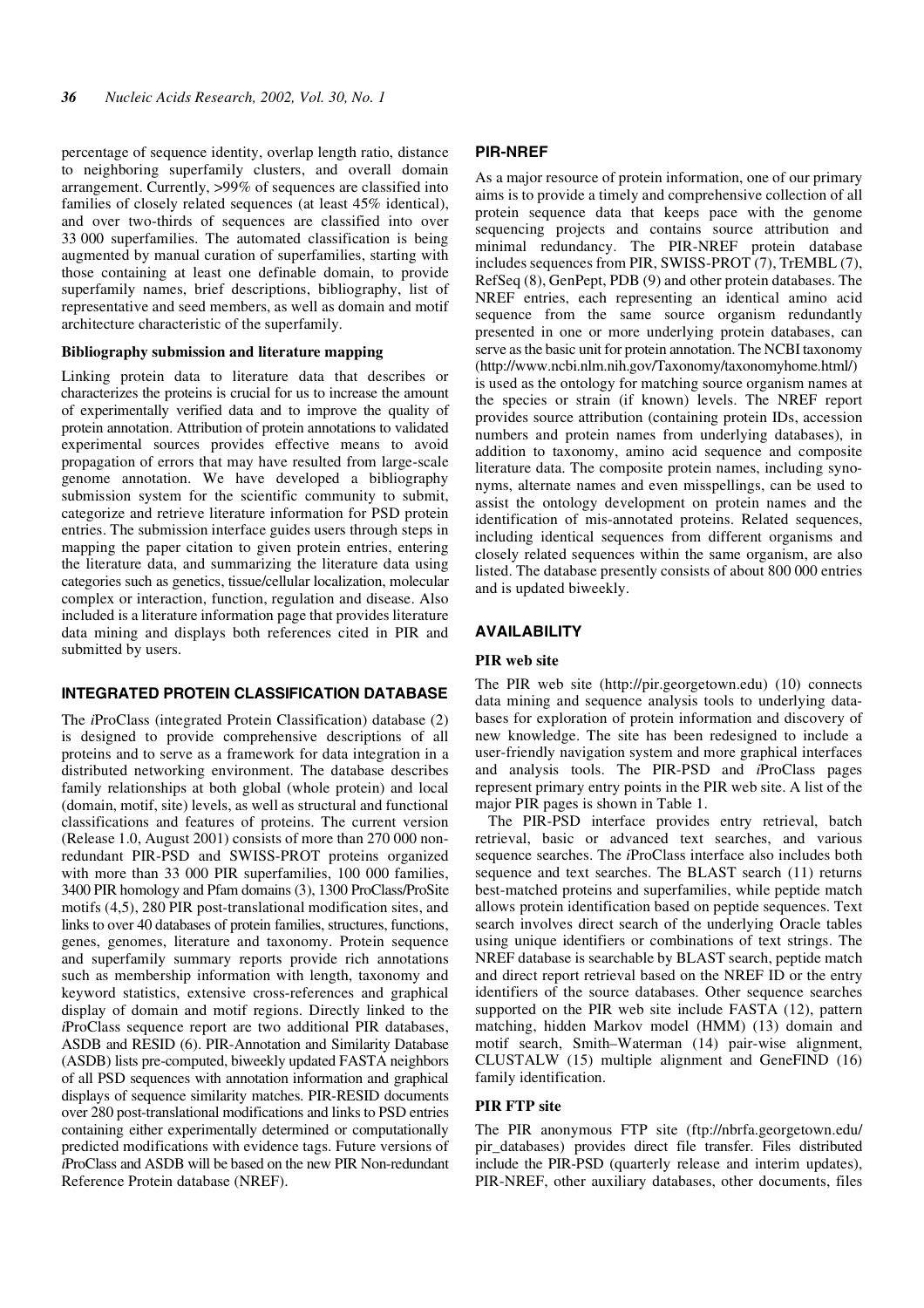percentage of sequence identity, overlap length ratio, distance to neighboring superfamily clusters, and overall domain arrangement. Currently, >99% of sequences are classified into families of closely related sequences (at least 45% identical), and over two-thirds of sequences are classified into over 33 000 superfamilies. The automated classification is being augmented by manual curation of superfamilies, starting with those containing at least one definable domain, to provide superfamily names, brief descriptions, bibliography, list of representative and seed members, as well as domain and motif architecture characteristic of the superfamily.

## **Bibliography submission and literature mapping**

Linking protein data to literature data that describes or characterizes the proteins is crucial for us to increase the amount of experimentally verified data and to improve the quality of protein annotation. Attribution of protein annotations to validated experimental sources provides effective means to avoid propagation of errors that may have resulted from large-scale genome annotation. We have developed a bibliography submission system for the scientific community to submit, categorize and retrieve literature information for PSD protein entries. The submission interface guides users through steps in mapping the paper citation to given protein entries, entering the literature data, and summarizing the literature data using categories such as genetics, tissue/cellular localization, molecular complex or interaction, function, regulation and disease. Also included is a literature information page that provides literature data mining and displays both references cited in PIR and submitted by users.

## **INTEGRATED PROTEIN CLASSIFICATION DATABASE**

The *i*ProClass (integrated Protein Classification) database (2) is designed to provide comprehensive descriptions of all proteins and to serve as a framework for data integration in a distributed networking environment. The database describes family relationships at both global (whole protein) and local (domain, motif, site) levels, as well as structural and functional classifications and features of proteins. The current version (Release 1.0, August 2001) consists of more than 270 000 nonredundant PIR-PSD and SWISS-PROT proteins organized with more than 33 000 PIR superfamilies, 100 000 families, 3400 PIR homology and Pfam domains (3), 1300 ProClass/ProSite motifs (4,5), 280 PIR post-translational modification sites, and links to over 40 databases of protein families, structures, functions, genes, genomes, literature and taxonomy. Protein sequence and superfamily summary reports provide rich annotations such as membership information with length, taxonomy and keyword statistics, extensive cross-references and graphical display of domain and motif regions. Directly linked to the *i*ProClass sequence report are two additional PIR databases, ASDB and RESID (6). PIR-Annotation and Similarity Database (ASDB) lists pre-computed, biweekly updated FASTA neighbors of all PSD sequences with annotation information and graphical displays of sequence similarity matches. PIR-RESID documents over 280 post-translational modifications and links to PSD entries containing either experimentally determined or computationally predicted modifications with evidence tags. Future versions of *i*ProClass and ASDB will be based on the new PIR Non-redundant Reference Protein database (NREF).

#### **PIR-NREF**

As a major resource of protein information, one of our primary aims is to provide a timely and comprehensive collection of all protein sequence data that keeps pace with the genome sequencing projects and contains source attribution and minimal redundancy. The PIR-NREF protein database includes sequences from PIR, SWISS-PROT (7), TrEMBL (7), RefSeq (8), GenPept, PDB (9) and other protein databases. The NREF entries, each representing an identical amino acid sequence from the same source organism redundantly presented in one or more underlying protein databases, can serve as the basic unit for protein annotation. The NCBI taxonomy (http://www.ncbi.nlm.nih.gov/Taxonomy/taxonomyhome.html/) is used as the ontology for matching source organism names at the species or strain (if known) levels. The NREF report provides source attribution (containing protein IDs, accession numbers and protein names from underlying databases), in addition to taxonomy, amino acid sequence and composite literature data. The composite protein names, including synonyms, alternate names and even misspellings, can be used to assist the ontology development on protein names and the identification of mis-annotated proteins. Related sequences, including identical sequences from different organisms and closely related sequences within the same organism, are also listed. The database presently consists of about 800 000 entries and is updated biweekly.

#### **AVAILABILITY**

#### **PIR web site**

The PIR web site (http://pir.georgetown.edu) (10) connects data mining and sequence analysis tools to underlying databases for exploration of protein information and discovery of new knowledge. The site has been redesigned to include a user-friendly navigation system and more graphical interfaces and analysis tools. The PIR-PSD and *i*ProClass pages represent primary entry points in the PIR web site. A list of the major PIR pages is shown in Table 1.

The PIR-PSD interface provides entry retrieval, batch retrieval, basic or advanced text searches, and various sequence searches. The *i*ProClass interface also includes both sequence and text searches. The BLAST search (11) returns best-matched proteins and superfamilies, while peptide match allows protein identification based on peptide sequences. Text search involves direct search of the underlying Oracle tables using unique identifiers or combinations of text strings. The NREF database is searchable by BLAST search, peptide match and direct report retrieval based on the NREF ID or the entry identifiers of the source databases. Other sequence searches supported on the PIR web site include FASTA (12), pattern matching, hidden Markov model (HMM) (13) domain and motif search, Smith–Waterman (14) pair-wise alignment, CLUSTALW (15) multiple alignment and GeneFIND (16) family identification.

#### **PIR FTP site**

The PIR anonymous FTP site (ftp://nbrfa.georgetown.edu/ pir\_databases) provides direct file transfer. Files distributed include the PIR-PSD (quarterly release and interim updates), PIR-NREF, other auxiliary databases, other documents, files